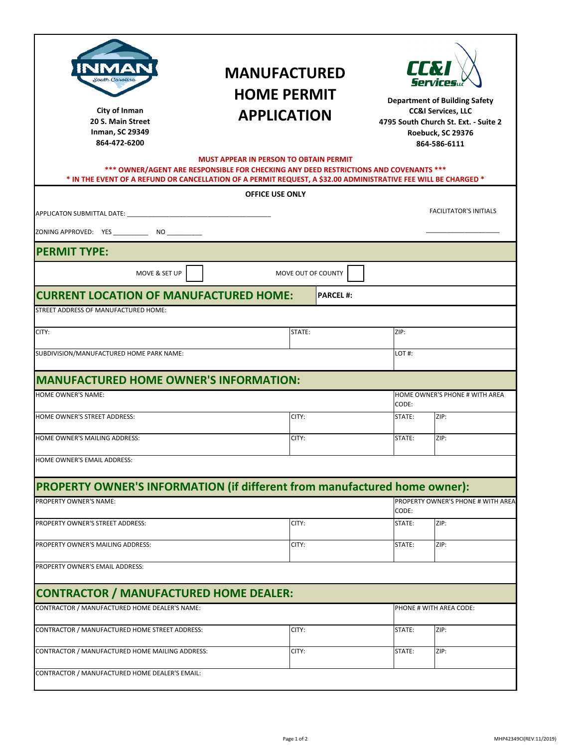| South Carolina<br>City of Inman<br>20 S. Main Street<br>Inman, SC 29349<br>864-472-6200                        | <b>MANUFACTURED</b><br><b>HOME PERMIT</b><br><b>APPLICATION</b><br><b>MUST APPEAR IN PERSON TO OBTAIN PERMIT</b> | LLV<br><b>Department of Building Safety</b><br><b>CC&amp;I Services, LLC</b><br>4795 South Church St. Ext. - Suite 2<br>Roebuck, SC 29376<br>864-586-6111 |                |                                    |  |
|----------------------------------------------------------------------------------------------------------------|------------------------------------------------------------------------------------------------------------------|-----------------------------------------------------------------------------------------------------------------------------------------------------------|----------------|------------------------------------|--|
| * IN THE EVENT OF A REFUND OR CANCELLATION OF A PERMIT REQUEST, A \$32.00 ADMINISTRATIVE FEE WILL BE CHARGED * | *** OWNER/AGENT ARE RESPONSIBLE FOR CHECKING ANY DEED RESTRICTIONS AND COVENANTS ***                             |                                                                                                                                                           |                |                                    |  |
|                                                                                                                | <b>OFFICE USE ONLY</b>                                                                                           |                                                                                                                                                           |                |                                    |  |
|                                                                                                                |                                                                                                                  |                                                                                                                                                           |                | <b>FACILITATOR'S INITIALS</b>      |  |
|                                                                                                                |                                                                                                                  |                                                                                                                                                           |                |                                    |  |
| <b>PERMIT TYPE:</b>                                                                                            |                                                                                                                  |                                                                                                                                                           |                |                                    |  |
| MOVE & SET UP                                                                                                  | MOVE OUT OF COUNTY                                                                                               |                                                                                                                                                           |                |                                    |  |
| <b>CURRENT LOCATION OF MANUFACTURED HOME:</b>                                                                  |                                                                                                                  | <b>PARCEL#:</b>                                                                                                                                           |                |                                    |  |
| STREET ADDRESS OF MANUFACTURED HOME:                                                                           |                                                                                                                  |                                                                                                                                                           |                |                                    |  |
| CITY:                                                                                                          | STATE:                                                                                                           |                                                                                                                                                           | ZIP:           |                                    |  |
| SUBDIVISION/MANUFACTURED HOME PARK NAME:                                                                       |                                                                                                                  |                                                                                                                                                           | LOT#:          |                                    |  |
|                                                                                                                |                                                                                                                  |                                                                                                                                                           |                |                                    |  |
| <b>MANUFACTURED HOME OWNER'S INFORMATION:</b>                                                                  |                                                                                                                  |                                                                                                                                                           |                |                                    |  |
| HOME OWNER'S NAME:                                                                                             |                                                                                                                  |                                                                                                                                                           | CODE:          | HOME OWNER'S PHONE # WITH AREA     |  |
| HOME OWNER'S STREET ADDRESS:                                                                                   | CITY:                                                                                                            |                                                                                                                                                           | STATE:         | ZIP:                               |  |
| HOME OWNER'S MAILING ADDRESS:                                                                                  | CITY:                                                                                                            |                                                                                                                                                           | STATE:         | ZIP:                               |  |
| HOME OWNER'S EMAIL ADDRESS:                                                                                    |                                                                                                                  |                                                                                                                                                           |                |                                    |  |
|                                                                                                                |                                                                                                                  |                                                                                                                                                           |                |                                    |  |
| PROPERTY OWNER'S INFORMATION (if different from manufactured home owner):                                      |                                                                                                                  |                                                                                                                                                           |                |                                    |  |
| PROPERTY OWNER'S NAME:                                                                                         |                                                                                                                  |                                                                                                                                                           | CODE:          | PROPERTY OWNER'S PHONE # WITH AREA |  |
| PROPERTY OWNER'S STREET ADDRESS:                                                                               | CITY:                                                                                                            |                                                                                                                                                           | STATE:         | ZIP:                               |  |
| PROPERTY OWNER'S MAILING ADDRESS:                                                                              | CITY:                                                                                                            |                                                                                                                                                           | STATE:         | ZIP:                               |  |
| PROPERTY OWNER'S EMAIL ADDRESS:                                                                                |                                                                                                                  |                                                                                                                                                           |                |                                    |  |
|                                                                                                                |                                                                                                                  |                                                                                                                                                           |                |                                    |  |
| <b>CONTRACTOR / MANUFACTURED HOME DEALER:</b><br>CONTRACTOR / MANUFACTURED HOME DEALER'S NAME:                 |                                                                                                                  |                                                                                                                                                           |                | PHONE # WITH AREA CODE:            |  |
|                                                                                                                |                                                                                                                  |                                                                                                                                                           |                |                                    |  |
| CONTRACTOR / MANUFACTURED HOME STREET ADDRESS:                                                                 | CITY:                                                                                                            |                                                                                                                                                           | STATE:         | ZIP:                               |  |
| CONTRACTOR / MANUFACTURED HOME MAILING ADDRESS:                                                                | CITY:                                                                                                            |                                                                                                                                                           | ZIP:<br>STATE: |                                    |  |
| CONTRACTOR / MANUFACTURED HOME DEALER'S EMAIL:                                                                 |                                                                                                                  |                                                                                                                                                           |                |                                    |  |